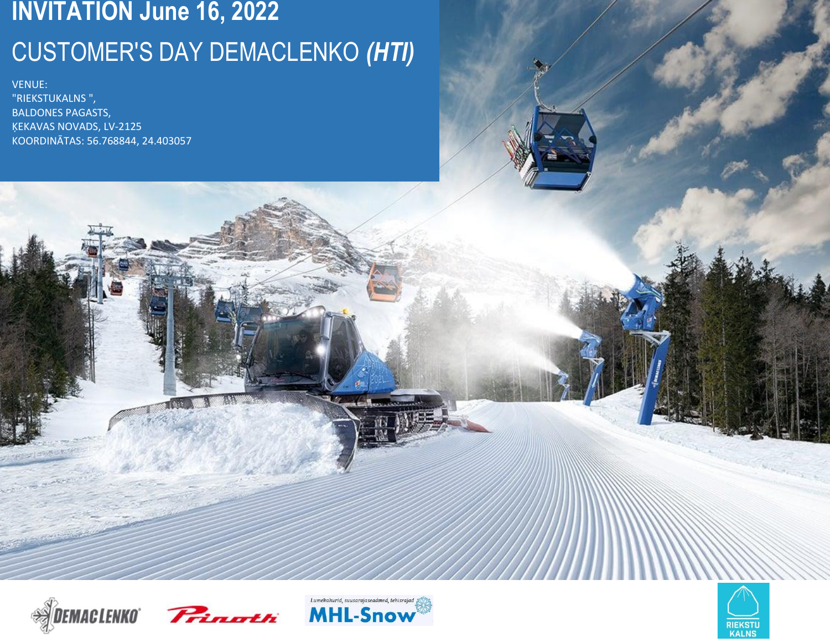# **INVITATION June 16, 2022** CUSTOMER'S DAY DEMACLENKO *(HTI)*

VENUE: "RIEKSTUKALNS ", BALDONES PAGASTS, ĶEKAVAS NOVADS, LV-2125 KOORDINĀTAS: 56.768844, 24.403057







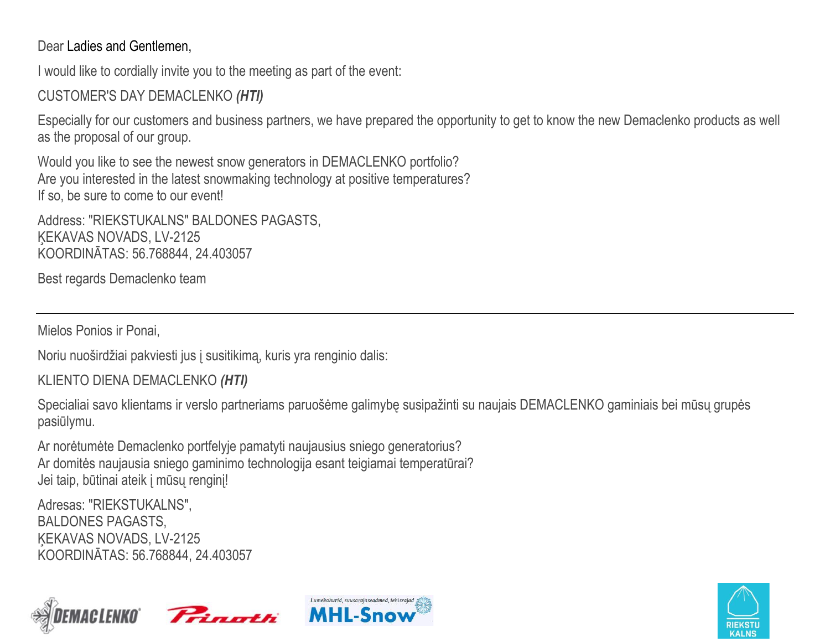## Dear Ladies and Gentlemen,

I would like to cordially invite you to the meeting as part of the event:

CUSTOMER'S DAY DEMACLENKO *(HTI)* 

Especially for our customers and business partners, we have prepared the opportunity to get to know the new Demaclenko products as well as the proposal of our group.

Would you like to see the newest snow generators in DEMACLENKO portfolio? Are you interested in the latest snowmaking technology at positive temperatures? If so, be sure to come to our event!

Address: "RIEKSTUKALNS" BALDONES PAGASTS, ĶEKAVAS NOVADS, LV-2125 KOORDINĀTAS: 56.768844, 24.403057

Best regards Demaclenko team

Mielos Ponios ir Ponai,

Noriu nuoširdžiai pakviesti jus į susitikimą, kuris yra renginio dalis:

KLIENTO DIENA DEMACLENKO *(HTI)*

Specialiai savo klientams ir verslo partneriams paruošėme galimybę susipažinti su naujais DEMACLENKO gaminiais bei mūsų grupės pasiūlymu.

Ar norėtumėte Demaclenko portfelyje pamatyti naujausius sniego generatorius? Ar domitės naujausia sniego gaminimo technologija esant teigiamai temperatūrai? Jei taip, būtinai ateik į mūsų renginį!

Adresas: "RIEKSTUKALNS", BALDONES PAGASTS, ĶEKAVAS NOVADS, LV-2125 KOORDINĀTAS: 56.768844, 24.403057







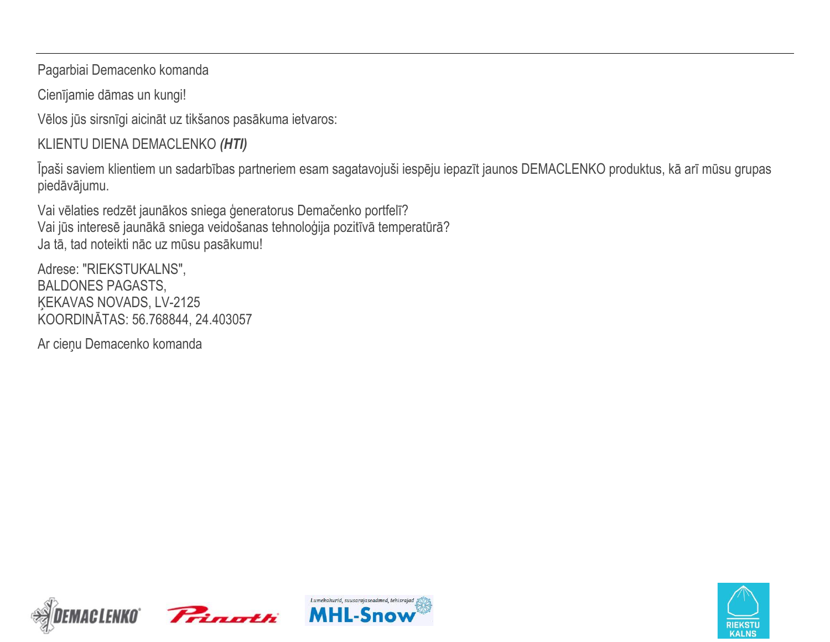Pagarbiai Demacenko komanda

Cienījamie dāmas un kungi!

Vēlos jūs sirsnīgi aicināt uz tikšanos pasākuma ietvaros:

KLIENTU DIENA DEMACLENKO *(HTI)*

Īpaši saviem klientiem un sadarbības partneriem esam sagatavojuši iespēju iepazīt jaunos DEMACLENKO produktus, kā arī mūsu grupas piedāvājumu.

Vai vēlaties redzēt jaunākos sniega ģeneratorus Demačenko portfelī? Vai jūs interesē jaunākā sniega veidošanas tehnoloģija pozitīvā temperatūrā? Ja tā, tad noteikti nāc uz mūsu pasākumu!

Adrese: "RIEKSTUKALNS", BALDONES PAGASTS, ĶEKAVAS NOVADS, LV-2125 KOORDINĀTAS: 56.768844, 24.403057

Ar cieņu Demacenko komanda